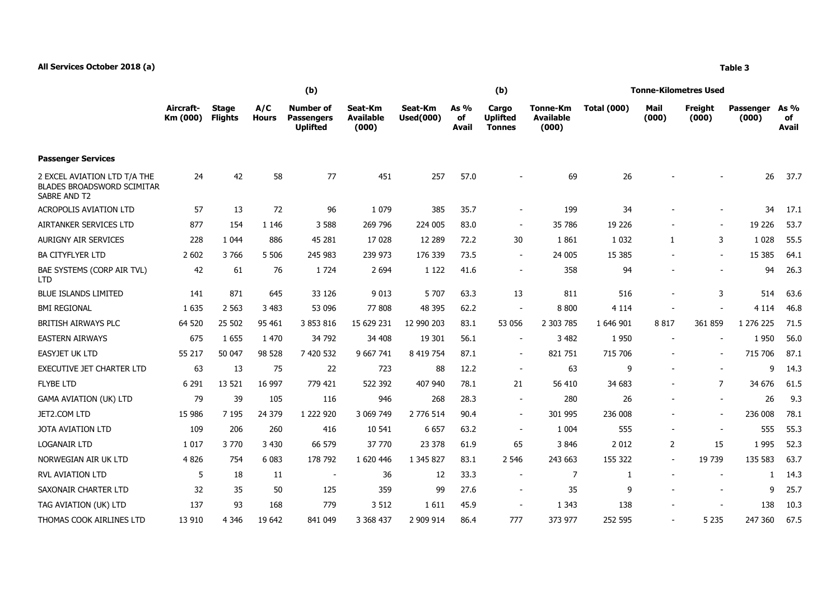|                                                                                   | (b)                   |                                |                     |                                                   |                                      |                             |                     | (b)                                       |                                       | Tonne-Kilometres Used |                          |                          |                    |                            |  |
|-----------------------------------------------------------------------------------|-----------------------|--------------------------------|---------------------|---------------------------------------------------|--------------------------------------|-----------------------------|---------------------|-------------------------------------------|---------------------------------------|-----------------------|--------------------------|--------------------------|--------------------|----------------------------|--|
|                                                                                   | Aircraft-<br>Km (000) | <b>Stage</b><br><b>Flights</b> | A/C<br><b>Hours</b> | Number of<br><b>Passengers</b><br><b>Uplifted</b> | Seat-Km<br><b>Available</b><br>(000) | Seat-Km<br><b>Used(000)</b> | As %<br>of<br>Avail | Cargo<br><b>Uplifted</b><br><b>Tonnes</b> | Tonne-Km<br><b>Available</b><br>(000) | <b>Total (000)</b>    | Mail<br>(000)            | Freight<br>(000)         | Passenger<br>(000) | As %<br>of<br><b>Avail</b> |  |
| <b>Passenger Services</b>                                                         |                       |                                |                     |                                                   |                                      |                             |                     |                                           |                                       |                       |                          |                          |                    |                            |  |
| 2 EXCEL AVIATION LTD T/A THE<br><b>BLADES BROADSWORD SCIMITAR</b><br>SABRE AND T2 | 24                    | 42                             | 58                  | 77                                                | 451                                  | 257                         | 57.0                |                                           | 69                                    | 26                    |                          |                          | 26                 | 37.7                       |  |
| <b>ACROPOLIS AVIATION LTD</b>                                                     | 57                    | 13                             | 72                  | 96                                                | 1 0 7 9                              | 385                         | 35.7                | $\overline{\phantom{a}}$                  | 199                                   | 34                    |                          |                          | 34                 | 17.1                       |  |
| AIRTANKER SERVICES LTD                                                            | 877                   | 154                            | 1 1 4 6             | 3 5 8 8                                           | 269 796                              | 224 005                     | 83.0                | $\sim$                                    | 35 786                                | 19 2 26               |                          |                          | 19 2 26            | 53.7                       |  |
| AURIGNY AIR SERVICES                                                              | 228                   | 1 0 4 4                        | 886                 | 45 281                                            | 17028                                | 12 289                      | 72.2                | 30                                        | 1861                                  | 1 0 3 2               | $\mathbf{1}$             | 3                        | 1 0 2 8            | 55.5                       |  |
| <b>BA CITYFLYER LTD</b>                                                           | 2 6 0 2               | 3766                           | 5 5 0 6             | 245 983                                           | 239 973                              | 176 339                     | 73.5                | $\sim$                                    | 24 005                                | 15 3 85               |                          |                          | 15 3 85            | 64.1                       |  |
| BAE SYSTEMS (CORP AIR TVL)<br><b>LTD</b>                                          | 42                    | 61                             | 76                  | 1724                                              | 2 6 9 4                              | 1 1 2 2                     | 41.6                | $\overline{\phantom{a}}$                  | 358                                   | 94                    |                          |                          | 94                 | 26.3                       |  |
| <b>BLUE ISLANDS LIMITED</b>                                                       | 141                   | 871                            | 645                 | 33 126                                            | 9 0 1 3                              | 5 70 7                      | 63.3                | 13                                        | 811                                   | 516                   |                          | 3                        | 514                | 63.6                       |  |
| <b>BMI REGIONAL</b>                                                               | 1 6 3 5               | 2 5 6 3                        | 3 4 8 3             | 53 096                                            | 77808                                | 48 395                      | 62.2                | $\overline{\phantom{a}}$                  | 8 8 0 0                               | 4 1 1 4               |                          |                          | 4 1 1 4            | 46.8                       |  |
| BRITISH AIRWAYS PLC                                                               | 64 520                | 25 502                         | 95 461              | 3 853 816                                         | 15 629 231                           | 12 990 203                  | 83.1                | 53 056                                    | 2 303 785                             | 1 646 901             | 8817                     | 361 859                  | 1 276 225          | 71.5                       |  |
| <b>EASTERN AIRWAYS</b>                                                            | 675                   | 1655                           | 1 470               | 34 792                                            | 34 408                               | 19 301                      | 56.1                | $\overline{\phantom{a}}$                  | 3 4 8 2                               | 1950                  |                          |                          | 1950               | 56.0                       |  |
| <b>EASYJET UK LTD</b>                                                             | 55 217                | 50 047                         | 98 528              | 7 420 532                                         | 9 667 741                            | 8 419 754                   | 87.1                | $\overline{a}$                            | 821 751                               | 715 706               |                          |                          | 715 706            | 87.1                       |  |
| <b>EXECUTIVE JET CHARTER LTD</b>                                                  | 63                    | 13                             | 75                  | 22                                                | 723                                  | 88                          | 12.2                | $\sim$                                    | 63                                    | 9                     |                          |                          | 9                  | 14.3                       |  |
| <b>FLYBE LTD</b>                                                                  | 6 2 9 1               | 13 5 21                        | 16 997              | 779 421                                           | 522 392                              | 407 940                     | 78.1                | 21                                        | 56 410                                | 34 683                |                          | $\overline{7}$           | 34 676             | 61.5                       |  |
| <b>GAMA AVIATION (UK) LTD</b>                                                     | 79                    | 39                             | 105                 | 116                                               | 946                                  | 268                         | 28.3                | $\sim$                                    | 280                                   | 26                    |                          | $\sim$                   | 26                 | 9.3                        |  |
| JET2.COM LTD                                                                      | 15 986                | 7 1 9 5                        | 24 379              | 1 222 920                                         | 3 069 749                            | 2 776 514                   | 90.4                | $\blacksquare$                            | 301 995                               | 236 008               |                          |                          | 236 008            | 78.1                       |  |
| JOTA AVIATION LTD                                                                 | 109                   | 206                            | 260                 | 416                                               | 10 541                               | 6 6 5 7                     | 63.2                | $\sim$                                    | 1 0 0 4                               | 555                   | $\overline{\phantom{a}}$ | $\overline{\phantom{a}}$ | 555                | 55.3                       |  |
| <b>LOGANAIR LTD</b>                                                               | 1 0 1 7               | 3770                           | 3 4 3 0             | 66 579                                            | 37 770                               | 23 378                      | 61.9                | 65                                        | 3 8 4 6                               | 2 0 1 2               | 2                        | 15                       | 1995               | 52.3                       |  |
| NORWEGIAN AIR UK LTD                                                              | 4 8 2 6               | 754                            | 6 0 8 3             | 178 792                                           | 1 620 446                            | 1 345 827                   | 83.1                | 2 5 4 6                                   | 243 663                               | 155 322               |                          | 19 739                   | 135 583            | 63.7                       |  |
| <b>RVL AVIATION LTD</b>                                                           | 5                     | 18                             | 11                  | $\overline{\phantom{a}}$                          | 36                                   | 12                          | 33.3                | $\sim$                                    | 7                                     | 1                     |                          |                          |                    | 14.3<br>1                  |  |
| SAXONAIR CHARTER LTD                                                              | 32                    | 35                             | 50                  | 125                                               | 359                                  | 99                          | 27.6                | $\blacksquare$                            | 35                                    | 9                     |                          |                          | 9                  | 25.7                       |  |
| TAG AVIATION (UK) LTD                                                             | 137                   | 93                             | 168                 | 779                                               | 3 5 1 2                              | 1611                        | 45.9                | $\overline{\phantom{a}}$                  | 1 3 4 3                               | 138                   |                          |                          | 138                | 10.3                       |  |
| THOMAS COOK AIRLINES LTD                                                          | 13 910                | 4 3 4 6                        | 19 642              | 841 049                                           | 3 3 68 4 37                          | 2 909 914                   | 86.4                | 777                                       | 373 977                               | 252 595               |                          | 5 2 3 5                  | 247 360            | 67.5                       |  |